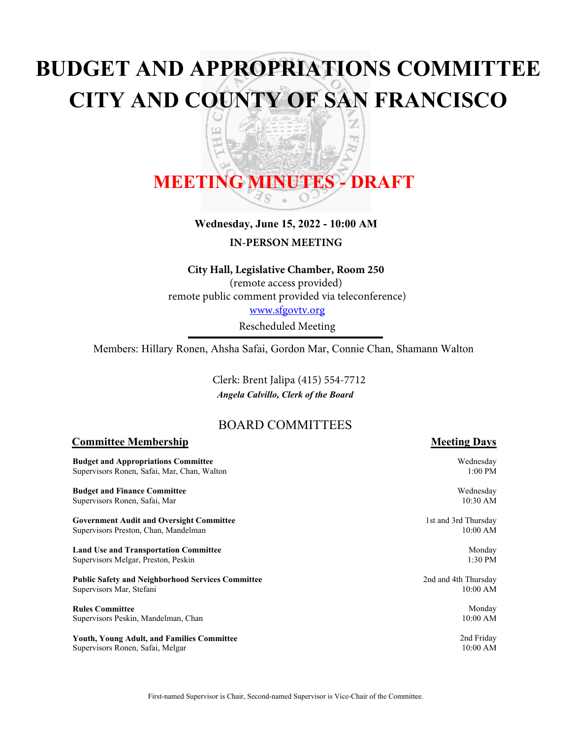# **BUDGET AND APPROPRIATIONS COMMITTEE CITY AND COUNTY OF SAN FRANCISCO**

z

嗊

ਠ

# **MEETING MINUTES - DRAFT**

띠

ť

# **Wednesday, June 15, 2022 - 10:00 AM**

**IN-PERSON MEETING**

#### **City Hall, Legislative Chamber, Room 250**

(remote access provided) remote public comment provided via teleconference) <www.sfgovtv.org>

Rescheduled Meeting

Members: Hillary Ronen, Ahsha Safai, Gordon Mar, Connie Chan, Shamann Walton

*Angela Calvillo, Clerk of the Board* Clerk: Brent Jalipa (415) 554-7712

# BOARD COMMITTEES

# **Committee Membership Meeting Days**

**Budget** Supervi

**Budget** Supervi

**Govern** Supervi

**Land U** Supervis

**Public S** Supervi

**Rules** C Supervi

Youth, Supervi

| and Appropriations Committee<br>sors Ronen, Safai, Mar, Chan, Walton | Wednesday<br>$1:00$ PM |
|----------------------------------------------------------------------|------------------------|
| and Finance Committee                                                | Wednesday              |
| sors Ronen, Safai, Mar                                               | 10:30 AM               |
| ment Audit and Oversight Committee                                   | 1st and 3rd Thursday   |
| sors Preston, Chan, Mandelman                                        | 10:00 AM               |
| se and Transportation Committee                                      | Monday                 |
| sors Melgar, Preston, Peskin                                         | $1:30$ PM              |
| <b>Safety and Neighborhood Services Committee</b>                    | 2nd and 4th Thursday   |
| sors Mar, Stefani                                                    | $10:00$ AM             |
| `ommittee                                                            | Monday                 |
| sors Peskin, Mandelman, Chan                                         | 10:00 AM               |
| <b>Young Adult, and Families Committee</b>                           | 2nd Friday             |
| sors Ronen-Safai-Melgar                                              | $10:00$ AM             |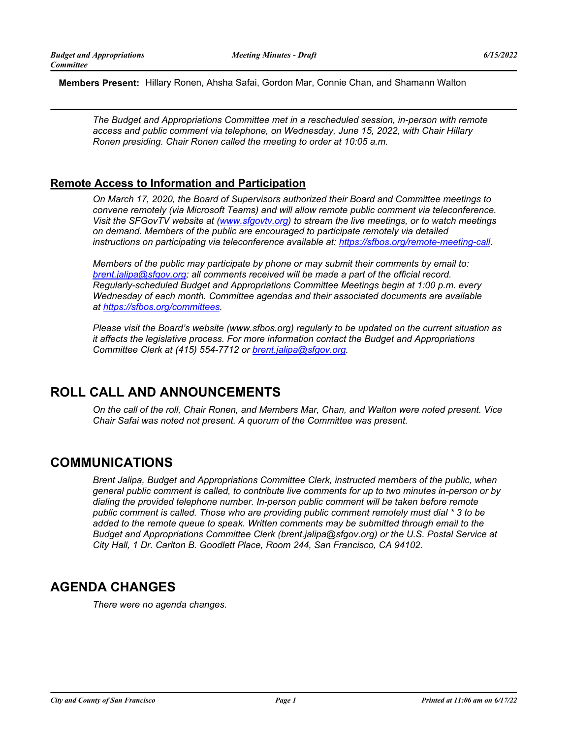**Members Present:** Hillary Ronen, Ahsha Safai, Gordon Mar, Connie Chan, and Shamann Walton

*The Budget and Appropriations Committee met in a rescheduled session, in-person with remote access and public comment via telephone, on Wednesday, June 15, 2022, with Chair Hillary Ronen presiding. Chair Ronen called the meeting to order at 10:05 a.m.*

# **Remote Access to Information and Participation**

*On March 17, 2020, the Board of Supervisors authorized their Board and Committee meetings to convene remotely (via Microsoft Teams) and will allow remote public comment via teleconference. Visit the SFGovTV website at [\(www.sfgovtv.org\)](www.sfgovtv.org) to stream the live meetings, or to watch meetings on demand. Members of the public are encouraged to participate remotely via detailed instructions on participating via teleconference available at: [https://sfbos.org/remote-meeting-call.](https://sfbos.org/remote-meeting-call)*

*Members of the public may participate by phone or may submit their comments by email to: [brent.jalipa@sfgov.org;](mailto:brent.jalipa@sfgov.org) all comments received will be made a part of the official record. Regularly-scheduled Budget and Appropriations Committee Meetings begin at 1:00 p.m. every Wednesday of each month. Committee agendas and their associated documents are available at [https://sfbos.org/committees.](https://sfbos.org/committees)*

*Please visit the Board's website (www.sfbos.org) regularly to be updated on the current situation as it affects the legislative process. For more information contact the Budget and Appropriations Committee Clerk at (415) 554-7712 or [brent.jalipa@sfgov.org.](mailto:brent.jalipa@sfgov.org)*

# **ROLL CALL AND ANNOUNCEMENTS**

*On the call of the roll, Chair Ronen, and Members Mar, Chan, and Walton were noted present. Vice Chair Safai was noted not present. A quorum of the Committee was present.*

# **COMMUNICATIONS**

*Brent Jalipa, Budget and Appropriations Committee Clerk, instructed members of the public, when general public comment is called, to contribute live comments for up to two minutes in-person or by dialing the provided telephone number. In-person public comment will be taken before remote public comment is called. Those who are providing public comment remotely must dial \* 3 to be added to the remote queue to speak. Written comments may be submitted through email to the Budget and Appropriations Committee Clerk (brent.jalipa@sfgov.org) or the U.S. Postal Service at City Hall, 1 Dr. Carlton B. Goodlett Place, Room 244, San Francisco, CA 94102.*

# **AGENDA CHANGES**

*There were no agenda changes.*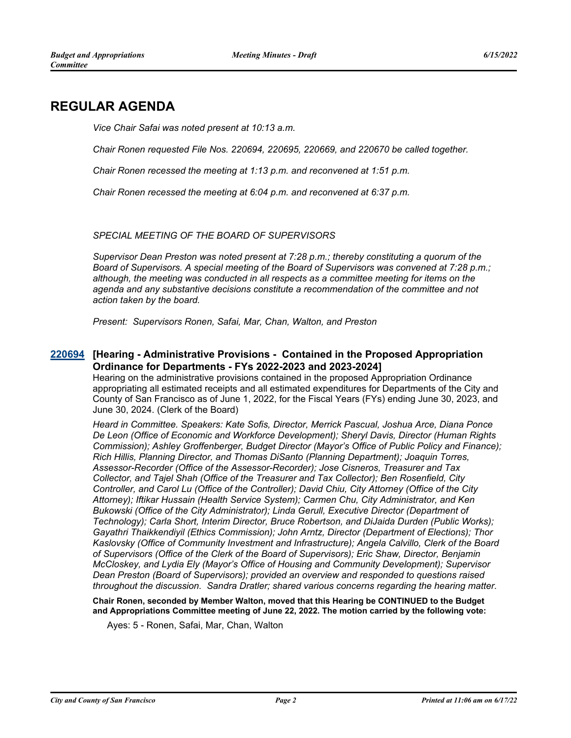# **REGULAR AGENDA**

*Vice Chair Safai was noted present at 10:13 a.m.*

*Chair Ronen requested File Nos. 220694, 220695, 220669, and 220670 be called together.*

*Chair Ronen recessed the meeting at 1:13 p.m. and reconvened at 1:51 p.m.*

*Chair Ronen recessed the meeting at 6:04 p.m. and reconvened at 6:37 p.m.*

## *SPECIAL MEETING OF THE BOARD OF SUPERVISORS*

*Supervisor Dean Preston was noted present at 7:28 p.m.; thereby constituting a quorum of the Board of Supervisors. A special meeting of the Board of Supervisors was convened at 7:28 p.m.; although, the meeting was conducted in all respects as a committee meeting for items on the agenda and any substantive decisions constitute a recommendation of the committee and not action taken by the board.*

*Present: Supervisors Ronen, Safai, Mar, Chan, Walton, and Preston*

# **[Hearing - Administrative Provisions - Contained in the Proposed Appropriation [220694](http://sfgov.legistar.com/gateway.aspx?m=l&id=38886) Ordinance for Departments - FYs 2022-2023 and 2023-2024]**

Hearing on the administrative provisions contained in the proposed Appropriation Ordinance appropriating all estimated receipts and all estimated expenditures for Departments of the City and County of San Francisco as of June 1, 2022, for the Fiscal Years (FYs) ending June 30, 2023, and June 30, 2024. (Clerk of the Board)

*Heard in Committee. Speakers: Kate Sofis, Director, Merrick Pascual, Joshua Arce, Diana Ponce De Leon (Office of Economic and Workforce Development); Sheryl Davis, Director (Human Rights Commission); Ashley Groffenberger, Budget Director (Mayor's Office of Public Policy and Finance); Rich Hillis, Planning Director, and Thomas DiSanto (Planning Department); Joaquin Torres, Assessor-Recorder (Office of the Assessor-Recorder); Jose Cisneros, Treasurer and Tax Collector, and Tajel Shah (Office of the Treasurer and Tax Collector); Ben Rosenfield, City Controller, and Carol Lu (Office of the Controller); David Chiu, City Attorney (Office of the City Attorney); Iftikar Hussain (Health Service System); Carmen Chu, City Administrator, and Ken Bukowski (Office of the City Administrator); Linda Gerull, Executive Director (Department of Technology); Carla Short, Interim Director, Bruce Robertson, and DiJaida Durden (Public Works); Gayathri Thaikkendiyil (Ethics Commission); John Arntz, Director (Department of Elections); Thor Kaslovsky (Office of Community Investment and Infrastructure); Angela Calvillo, Clerk of the Board of Supervisors (Office of the Clerk of the Board of Supervisors); Eric Shaw, Director, Benjamin McCloskey, and Lydia Ely (Mayor's Office of Housing and Community Development); Supervisor Dean Preston (Board of Supervisors); provided an overview and responded to questions raised throughout the discussion. Sandra Dratler; shared various concerns regarding the hearing matter.*

**Chair Ronen, seconded by Member Walton, moved that this Hearing be CONTINUED to the Budget and Appropriations Committee meeting of June 22, 2022. The motion carried by the following vote:**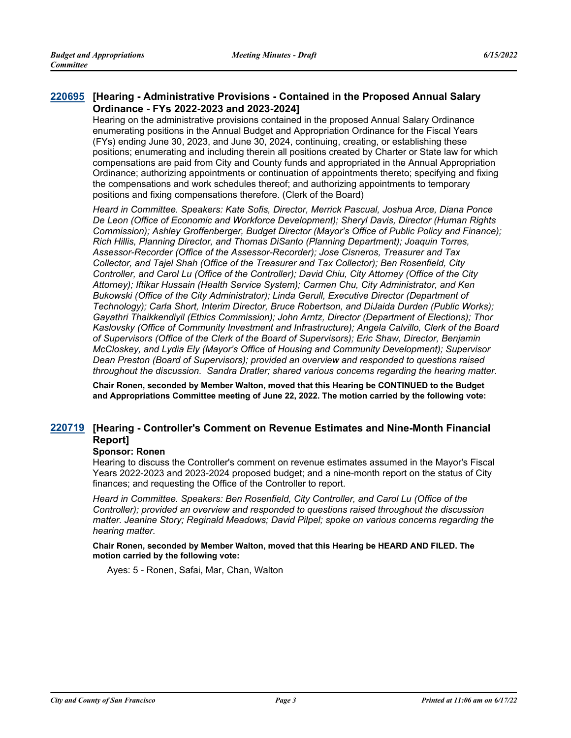# **[Hearing - Administrative Provisions - Contained in the Proposed Annual Salary [220695](http://sfgov.legistar.com/gateway.aspx?m=l&id=38887) Ordinance - FYs 2022-2023 and 2023-2024]**

Hearing on the administrative provisions contained in the proposed Annual Salary Ordinance enumerating positions in the Annual Budget and Appropriation Ordinance for the Fiscal Years (FYs) ending June 30, 2023, and June 30, 2024, continuing, creating, or establishing these positions; enumerating and including therein all positions created by Charter or State law for which compensations are paid from City and County funds and appropriated in the Annual Appropriation Ordinance; authorizing appointments or continuation of appointments thereto; specifying and fixing the compensations and work schedules thereof; and authorizing appointments to temporary positions and fixing compensations therefore. (Clerk of the Board)

*Heard in Committee. Speakers: Kate Sofis, Director, Merrick Pascual, Joshua Arce, Diana Ponce De Leon (Office of Economic and Workforce Development); Sheryl Davis, Director (Human Rights Commission); Ashley Groffenberger, Budget Director (Mayor's Office of Public Policy and Finance); Rich Hillis, Planning Director, and Thomas DiSanto (Planning Department); Joaquin Torres, Assessor-Recorder (Office of the Assessor-Recorder); Jose Cisneros, Treasurer and Tax Collector, and Tajel Shah (Office of the Treasurer and Tax Collector); Ben Rosenfield, City Controller, and Carol Lu (Office of the Controller); David Chiu, City Attorney (Office of the City Attorney); Iftikar Hussain (Health Service System); Carmen Chu, City Administrator, and Ken Bukowski (Office of the City Administrator); Linda Gerull, Executive Director (Department of Technology); Carla Short, Interim Director, Bruce Robertson, and DiJaida Durden (Public Works); Gayathri Thaikkendiyil (Ethics Commission); John Arntz, Director (Department of Elections); Thor Kaslovsky (Office of Community Investment and Infrastructure); Angela Calvillo, Clerk of the Board of Supervisors (Office of the Clerk of the Board of Supervisors); Eric Shaw, Director, Benjamin McCloskey, and Lydia Ely (Mayor's Office of Housing and Community Development); Supervisor Dean Preston (Board of Supervisors); provided an overview and responded to questions raised throughout the discussion. Sandra Dratler; shared various concerns regarding the hearing matter.*

**Chair Ronen, seconded by Member Walton, moved that this Hearing be CONTINUED to the Budget and Appropriations Committee meeting of June 22, 2022. The motion carried by the following vote:**

# **[Hearing - Controller's Comment on Revenue Estimates and Nine-Month Financial [220719](http://sfgov.legistar.com/gateway.aspx?m=l&id=38911) Report]**

# **Sponsor: Ronen**

Hearing to discuss the Controller's comment on revenue estimates assumed in the Mayor's Fiscal Years 2022-2023 and 2023-2024 proposed budget; and a nine-month report on the status of City finances; and requesting the Office of the Controller to report.

*Heard in Committee. Speakers: Ben Rosenfield, City Controller, and Carol Lu (Office of the Controller); provided an overview and responded to questions raised throughout the discussion matter. Jeanine Story; Reginald Meadows; David Pilpel; spoke on various concerns regarding the hearing matter.*

#### **Chair Ronen, seconded by Member Walton, moved that this Hearing be HEARD AND FILED. The motion carried by the following vote:**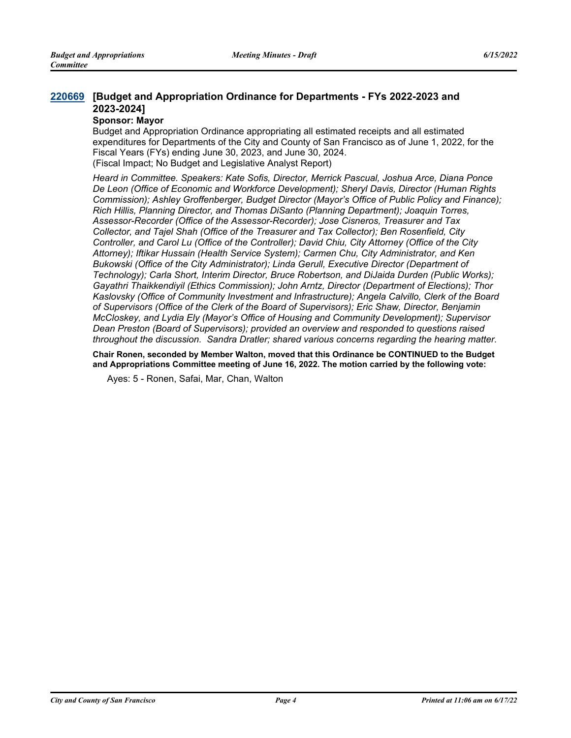# **[Budget and Appropriation Ordinance for Departments - FYs 2022-2023 and [220669](http://sfgov.legistar.com/gateway.aspx?m=l&id=38861) 2023-2024]**

#### **Sponsor: Mayor**

Budget and Appropriation Ordinance appropriating all estimated receipts and all estimated expenditures for Departments of the City and County of San Francisco as of June 1, 2022, for the Fiscal Years (FYs) ending June 30, 2023, and June 30, 2024. (Fiscal Impact; No Budget and Legislative Analyst Report)

*Heard in Committee. Speakers: Kate Sofis, Director, Merrick Pascual, Joshua Arce, Diana Ponce De Leon (Office of Economic and Workforce Development); Sheryl Davis, Director (Human Rights Commission); Ashley Groffenberger, Budget Director (Mayor's Office of Public Policy and Finance); Rich Hillis, Planning Director, and Thomas DiSanto (Planning Department); Joaquin Torres, Assessor-Recorder (Office of the Assessor-Recorder); Jose Cisneros, Treasurer and Tax Collector, and Tajel Shah (Office of the Treasurer and Tax Collector); Ben Rosenfield, City Controller, and Carol Lu (Office of the Controller); David Chiu, City Attorney (Office of the City Attorney); Iftikar Hussain (Health Service System); Carmen Chu, City Administrator, and Ken Bukowski (Office of the City Administrator); Linda Gerull, Executive Director (Department of Technology); Carla Short, Interim Director, Bruce Robertson, and DiJaida Durden (Public Works); Gayathri Thaikkendiyil (Ethics Commission); John Arntz, Director (Department of Elections); Thor Kaslovsky (Office of Community Investment and Infrastructure); Angela Calvillo, Clerk of the Board of Supervisors (Office of the Clerk of the Board of Supervisors); Eric Shaw, Director, Benjamin McCloskey, and Lydia Ely (Mayor's Office of Housing and Community Development); Supervisor Dean Preston (Board of Supervisors); provided an overview and responded to questions raised throughout the discussion. Sandra Dratler; shared various concerns regarding the hearing matter.*

**Chair Ronen, seconded by Member Walton, moved that this Ordinance be CONTINUED to the Budget and Appropriations Committee meeting of June 16, 2022. The motion carried by the following vote:**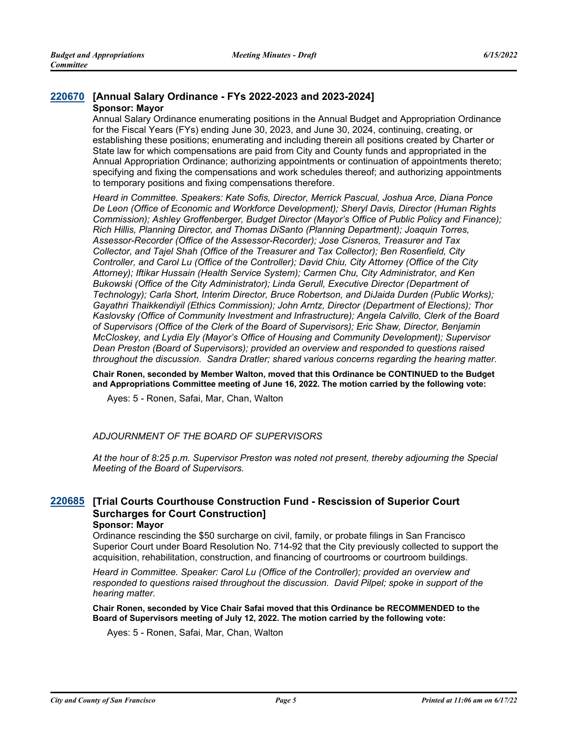#### **[220670](http://sfgov.legistar.com/gateway.aspx?m=l&id=38862) [Annual Salary Ordinance - FYs 2022-2023 and 2023-2024] Sponsor: Mayor**

Annual Salary Ordinance enumerating positions in the Annual Budget and Appropriation Ordinance for the Fiscal Years (FYs) ending June 30, 2023, and June 30, 2024, continuing, creating, or establishing these positions; enumerating and including therein all positions created by Charter or State law for which compensations are paid from City and County funds and appropriated in the Annual Appropriation Ordinance; authorizing appointments or continuation of appointments thereto; specifying and fixing the compensations and work schedules thereof; and authorizing appointments to temporary positions and fixing compensations therefore.

*Heard in Committee. Speakers: Kate Sofis, Director, Merrick Pascual, Joshua Arce, Diana Ponce De Leon (Office of Economic and Workforce Development); Sheryl Davis, Director (Human Rights Commission); Ashley Groffenberger, Budget Director (Mayor's Office of Public Policy and Finance); Rich Hillis, Planning Director, and Thomas DiSanto (Planning Department); Joaquin Torres, Assessor-Recorder (Office of the Assessor-Recorder); Jose Cisneros, Treasurer and Tax Collector, and Tajel Shah (Office of the Treasurer and Tax Collector); Ben Rosenfield, City Controller, and Carol Lu (Office of the Controller); David Chiu, City Attorney (Office of the City Attorney); Iftikar Hussain (Health Service System); Carmen Chu, City Administrator, and Ken Bukowski (Office of the City Administrator); Linda Gerull, Executive Director (Department of Technology); Carla Short, Interim Director, Bruce Robertson, and DiJaida Durden (Public Works); Gayathri Thaikkendiyil (Ethics Commission); John Arntz, Director (Department of Elections); Thor Kaslovsky (Office of Community Investment and Infrastructure); Angela Calvillo, Clerk of the Board of Supervisors (Office of the Clerk of the Board of Supervisors); Eric Shaw, Director, Benjamin McCloskey, and Lydia Ely (Mayor's Office of Housing and Community Development); Supervisor Dean Preston (Board of Supervisors); provided an overview and responded to questions raised throughout the discussion. Sandra Dratler; shared various concerns regarding the hearing matter.*

**Chair Ronen, seconded by Member Walton, moved that this Ordinance be CONTINUED to the Budget and Appropriations Committee meeting of June 16, 2022. The motion carried by the following vote:**

Ayes: 5 - Ronen, Safai, Mar, Chan, Walton

## *ADJOURNMENT OF THE BOARD OF SUPERVISORS*

*At the hour of 8:25 p.m. Supervisor Preston was noted not present, thereby adjourning the Special Meeting of the Board of Supervisors.*

# **[Trial Courts Courthouse Construction Fund - Rescission of Superior Court [220685](http://sfgov.legistar.com/gateway.aspx?m=l&id=38877) Surcharges for Court Construction]**

#### **Sponsor: Mayor**

Ordinance rescinding the \$50 surcharge on civil, family, or probate filings in San Francisco Superior Court under Board Resolution No. 714-92 that the City previously collected to support the acquisition, rehabilitation, construction, and financing of courtrooms or courtroom buildings.

*Heard in Committee. Speaker: Carol Lu (Office of the Controller); provided an overview and responded to questions raised throughout the discussion. David Pilpel; spoke in support of the hearing matter.*

**Chair Ronen, seconded by Vice Chair Safai moved that this Ordinance be RECOMMENDED to the Board of Supervisors meeting of July 12, 2022. The motion carried by the following vote:**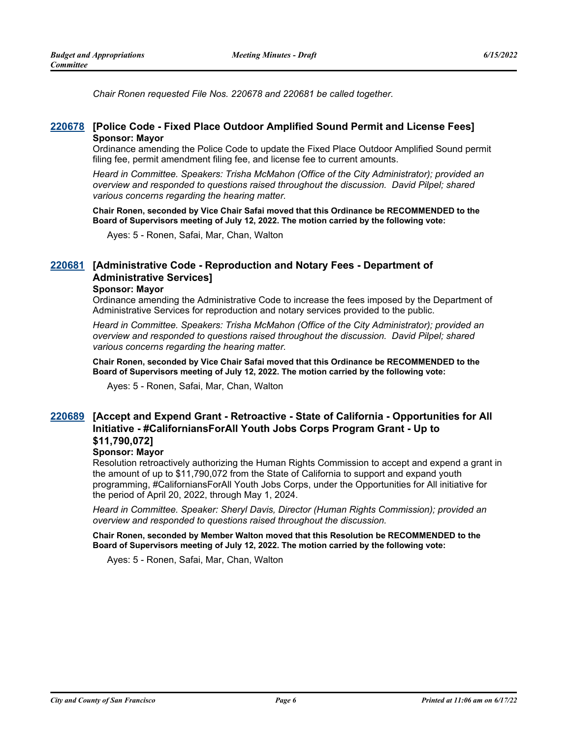*Chair Ronen requested File Nos. 220678 and 220681 be called together.*

## **[220678](http://sfgov.legistar.com/gateway.aspx?m=l&id=38870) [Police Code - Fixed Place Outdoor Amplified Sound Permit and License Fees] Sponsor: Mayor**

Ordinance amending the Police Code to update the Fixed Place Outdoor Amplified Sound permit filing fee, permit amendment filing fee, and license fee to current amounts.

*Heard in Committee. Speakers: Trisha McMahon (Office of the City Administrator); provided an overview and responded to questions raised throughout the discussion. David Pilpel; shared various concerns regarding the hearing matter.*

**Chair Ronen, seconded by Vice Chair Safai moved that this Ordinance be RECOMMENDED to the Board of Supervisors meeting of July 12, 2022. The motion carried by the following vote:**

Ayes: 5 - Ronen, Safai, Mar, Chan, Walton

# **[Administrative Code - Reproduction and Notary Fees - Department of [220681](http://sfgov.legistar.com/gateway.aspx?m=l&id=38873) Administrative Services]**

#### **Sponsor: Mayor**

Ordinance amending the Administrative Code to increase the fees imposed by the Department of Administrative Services for reproduction and notary services provided to the public.

*Heard in Committee. Speakers: Trisha McMahon (Office of the City Administrator); provided an overview and responded to questions raised throughout the discussion. David Pilpel; shared various concerns regarding the hearing matter.*

**Chair Ronen, seconded by Vice Chair Safai moved that this Ordinance be RECOMMENDED to the Board of Supervisors meeting of July 12, 2022. The motion carried by the following vote:**

Ayes: 5 - Ronen, Safai, Mar, Chan, Walton

# **[Accept and Expend Grant - Retroactive - State of California - Opportunities for All [220689](http://sfgov.legistar.com/gateway.aspx?m=l&id=38881) Initiative - #CaliforniansForAll Youth Jobs Corps Program Grant - Up to \$11,790,072]**

# **Sponsor: Mayor**

Resolution retroactively authorizing the Human Rights Commission to accept and expend a grant in the amount of up to \$11,790,072 from the State of California to support and expand youth programming, #CaliforniansForAll Youth Jobs Corps, under the Opportunities for All initiative for the period of April 20, 2022, through May 1, 2024.

*Heard in Committee. Speaker: Sheryl Davis, Director (Human Rights Commission); provided an overview and responded to questions raised throughout the discussion.*

**Chair Ronen, seconded by Member Walton moved that this Resolution be RECOMMENDED to the Board of Supervisors meeting of July 12, 2022. The motion carried by the following vote:**